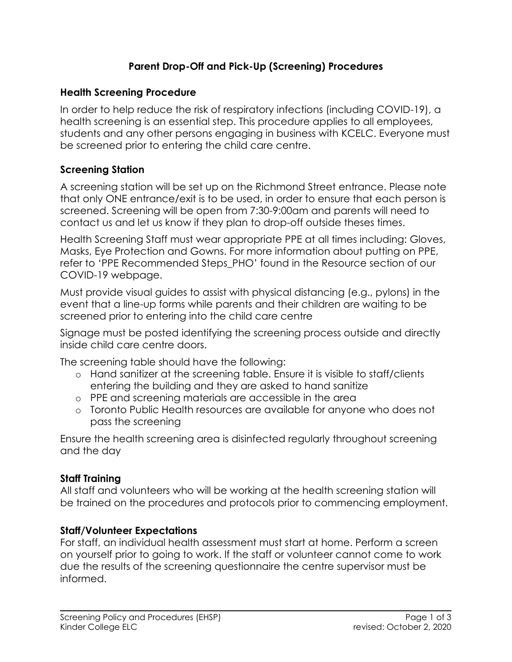### **Parent Drop-Off and Pick-Up (Screening) Procedures**

#### **Health Screening Procedure**

In order to help reduce the risk of respiratory infections (including COVID-19), a health screening is an essential step. This procedure applies to all employees, students and any other persons engaging in business with KCELC. Everyone must be screened prior to entering the child care centre.

#### **Screening Station**

A screening station will be set up on the Richmond Street entrance. Please note that only ONE entrance/exit is to be used, in order to ensure that each person is screened. Screening will be open from 7:30-9:00am and parents will need to contact us and let us know if they plan to drop-off outside theses times.

Health Screening Staff must wear appropriate PPE at all times including: Gloves, Masks, Eye Protection and Gowns. For more information about putting on PPE, refer to 'PPE Recommended Steps\_PHO' found in the Resource section of our COVID-19 webpage.

Must provide visual guides to assist with physical distancing (e.g., pylons) in the event that a line-up forms while parents and their children are waiting to be screened prior to entering into the child care centre

Signage must be posted identifying the screening process outside and directly inside child care centre doors.

The screening table should have the following:

- o Hand sanitizer at the screening table. Ensure it is visible to staff/clients entering the building and they are asked to hand sanitize
- o PPE and screening materials are accessible in the area
- o Toronto Public Health resources are available for anyone who does not pass the screening

Ensure the health screening area is disinfected regularly throughout screening and the day

### **Staff Training**

All staff and volunteers who will be working at the health screening station will be trained on the procedures and protocols prior to commencing employment.

### **Staff/Volunteer Expectations**

For staff, an individual health assessment must start at home. Perform a screen on yourself prior to going to work. If the staff or volunteer cannot come to work due the results of the screening questionnaire the centre supervisor must be informed.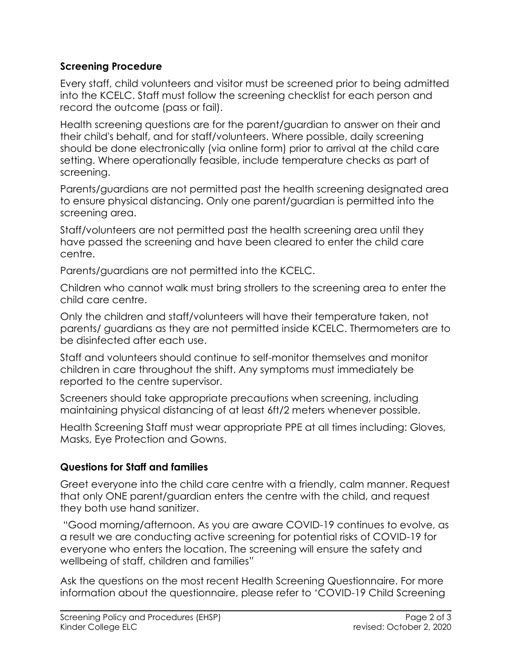### **Screening Procedure**

Every staff, child volunteers and visitor must be screened prior to being admitted into the KCELC. Staff must follow the screening checklist for each person and record the outcome (pass or fail).

Health screening questions are for the parent/guardian to answer on their and their child's behalf, and for staff/volunteers. Where possible, daily screening should be done electronically (via online form) prior to arrival at the child care setting. Where operationally feasible, include temperature checks as part of screening.

Parents/guardians are not permitted past the health screening designated area to ensure physical distancing. Only one parent/guardian is permitted into the screening area.

Staff/volunteers are not permitted past the health screening area until they have passed the screening and have been cleared to enter the child care centre.

Parents/guardians are not permitted into the KCELC.

Children who cannot walk must bring strollers to the screening area to enter the child care centre.

Only the children and staff/volunteers will have their temperature taken, not parents/ guardians as they are not permitted inside KCELC. Thermometers are to be disinfected after each use.

Staff and volunteers should continue to self-monitor themselves and monitor children in care throughout the shift. Any symptoms must immediately be reported to the centre supervisor.

Screeners should take appropriate precautions when screening, including maintaining physical distancing of at least 6ft/2 meters whenever possible.

Health Screening Staff must wear appropriate PPE at all times including: Gloves, Masks, Eye Protection and Gowns.

# **Questions for Staff and families**

Greet everyone into the child care centre with a friendly, calm manner. Request that only ONE parent/guardian enters the centre with the child, and request they both use hand sanitizer.

"Good morning/afternoon. As you are aware COVID-19 continues to evolve, as a result we are conducting active screening for potential risks of COVID-19 for everyone who enters the location. The screening will ensure the safety and wellbeing of staff, children and families"

Ask the questions on the most recent Health Screening Questionnaire. For more information about the questionnaire, please refer to 'COVID-19 Child Screening